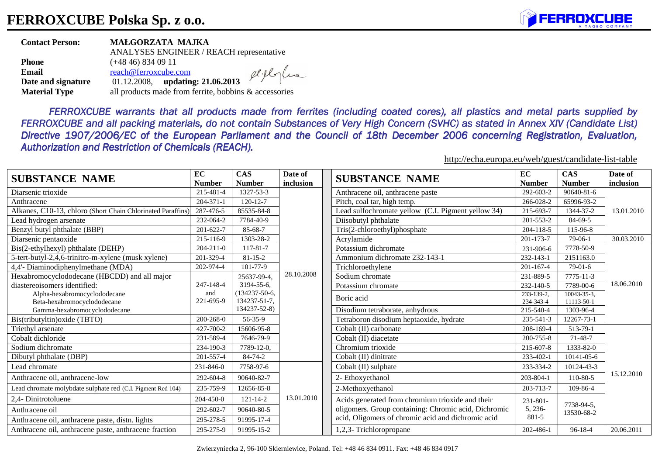

| <b>Contact Person:</b> | MAŁGORZATA MAJKA                                      |            |
|------------------------|-------------------------------------------------------|------------|
|                        | ANALYSES ENGINEER / REACH representative              |            |
| <b>Phone</b>           | $(+4846)$ 834 09 11                                   |            |
| Email                  | reach@ferroxcube.com                                  | eliflorlue |
| Date and signature     | 01.12.2008, updating: 21.06.2013                      |            |
| <b>Material Type</b>   | all products made from ferrite, bobbins & accessories |            |

*FERROXCUBE warrants that all products made from ferrites (including coated cores), all plastics and metal parts supplied by FERROXCUBE and all packing materials, do not contain Substances of Very High Concern (SVHC) as stated in Annex XIV (Candidate List)* Directive 1907/2006/EC of the European Parliament and the Council of 18th December 2006 concerning Registration, Evaluation, *Authorization and Restriction of Chemicals (REACH).*

http://echa.europa.eu/web/guest/candidate-list-table

| <b>SUBSTANCE NAME</b>                                       | EC              | <b>CAS</b>          | Date of    | <b>SUBSTANCE NAME</b>                                | EC              | <b>CAS</b>               | Date of    |  |
|-------------------------------------------------------------|-----------------|---------------------|------------|------------------------------------------------------|-----------------|--------------------------|------------|--|
|                                                             | <b>Number</b>   | <b>Number</b>       | inclusion  |                                                      | <b>Number</b>   | <b>Number</b>            | inclusion  |  |
| Diarsenic trioxide                                          | 215-481-4       | 1327-53-3           |            | Anthracene oil, anthracene paste                     | 292-603-2       | 90640-81-6               | 13.01.2010 |  |
| Anthracene                                                  | 204-371-1       | 120-12-7            |            | Pitch, coal tar, high temp.                          | 266-028-2       | 65996-93-2               |            |  |
| Alkanes, C10-13, chloro (Short Chain Chlorinated Paraffins) | 287-476-5       | 85535-84-8          |            | Lead sulfochromate yellow (C.I. Pigment yellow 34)   | 215-693-7       | 1344-37-2                |            |  |
| Lead hydrogen arsenate                                      | 232-064-2       | 7784-40-9           |            | Diisobutyl phthalate                                 | 201-553-2       | 84-69-5                  |            |  |
| Benzyl butyl phthalate (BBP)                                | 201-622-7       | 85-68-7             |            | Tris(2-chloroethyl)phosphate                         | 204-118-5       | 115-96-8                 |            |  |
| Diarsenic pentaoxide                                        | 215-116-9       | 1303-28-2           |            | Acrylamide                                           | 201-173-7       | $79-06-1$                | 30.03.2010 |  |
| Bis(2-ethylhexyl) phthalate (DEHP)                          | $204 - 211 - 0$ | 117-81-7            |            | Potassium dichromate                                 | 231-906-6       | 7778-50-9                |            |  |
| 5-tert-butyl-2,4,6-trinitro-m-xylene (musk xylene)          | 201-329-4       | $81 - 15 - 2$       |            | Ammonium dichromate 232-143-1                        | 232-143-1       | 2151163.0                |            |  |
| 4,4'- Diaminodiphenylmethane (MDA)                          | 202-974-4       | 101-77-9            |            | Trichloroethylene                                    | $201 - 167 - 4$ | $79-01-6$                |            |  |
| Hexabromocyclododecane (HBCDD) and all major                |                 | 25637-99-4,         | 28.10.2008 | Sodium chromate                                      | 231-889-5       | 7775-11-3                |            |  |
| diastereoisomers identified:                                | 247-148-4       | 3194-55-6.          |            | Potassium chromate                                   | 232-140-5       | 7789-00-6                | 18.06.2010 |  |
| Alpha-hexabromocyclododecane                                | and             | $(134237 - 50 - 6,$ |            | Boric acid                                           | 233-139-2.      | $10043 - 35 - 3$ .       |            |  |
| Beta-hexabromocyclododecane                                 | 221-695-9       | 134237-51-7,        |            |                                                      | 234-343-4       | 11113-50-1               |            |  |
| Gamma-hexabromocyclododecane                                |                 | 134237-52-8)        |            | Disodium tetraborate, anhydrous                      | 215-540-4       | 1303-96-4                |            |  |
| Bis(tributyltin) oxide (TBTO)                               | 200-268-0       | 56-35-9             |            | Tetraboron disodium heptaoxide, hydrate              | 235-541-3       | 12267-73-1               |            |  |
| Triethyl arsenate                                           | 427-700-2       | 15606-95-8          |            | Cobalt (II) carbonate                                | 208-169-4       | 513-79-1                 |            |  |
| Cobalt dichloride                                           | 231-589-4       | 7646-79-9           |            | Cobalt (II) diacetate                                | 200-755-8       | $71 - 48 - 7$            |            |  |
| Sodium dichromate                                           | 234-190-3       | 7789-12-0,          |            | Chromium trioxide                                    | 215-607-8       | 1333-82-0                |            |  |
| Dibutyl phthalate (DBP)                                     | 201-557-4       | 84-74-2             |            | Cobalt (II) dinitrate                                | 233-402-1       | 10141-05-6               |            |  |
| Lead chromate                                               | 231-846-0       | 7758-97-6           |            | Cobalt (II) sulphate                                 | 233-334-2       | 10124-43-3               | 15.12.2010 |  |
| Anthracene oil, anthracene-low                              | 292-604-8       | 90640-82-7          |            | 2- Ethoxyethanol                                     | 203-804-1       | 110-80-5                 |            |  |
| Lead chromate molybdate sulphate red (C.I. Pigment Red 104) | 235-759-9       | 12656-85-8          |            | 2-Methoxyethanol                                     | 203-713-7       | 109-86-4                 |            |  |
| 2,4- Dinitrotoluene                                         | 204-450-0       | $121 - 14 - 2$      | 13.01.2010 | Acids generated from chromium trioxide and their     | $231 - 801 -$   |                          |            |  |
| Anthracene oil                                              | 292-602-7       | 90640-80-5          |            | oligomers. Group containing: Chromic acid, Dichromic | 5, 236-         | 7738-94-5.<br>13530-68-2 |            |  |
| Anthracene oil, anthracene paste, distn. lights             | 295-278-5       | 91995-17-4          |            | acid, Oligomers of chromic acid and dichromic acid   | 881-5           |                          |            |  |
| Anthracene oil, anthracene paste, anthracene fraction       | 295-275-9       | 91995-15-2          |            | 1,2,3- Trichloropropane                              | 202-486-1       | $96 - 18 - 4$            | 20.06.2011 |  |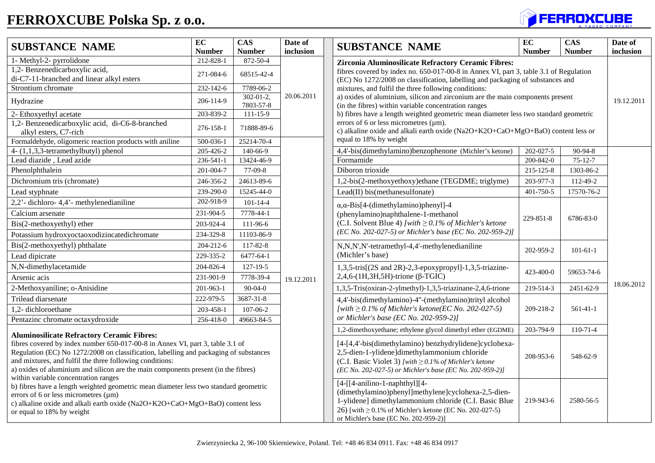## **FERROXCUBE Polska Sp. z o.o.**



| <b>SUBSTANCE NAME</b>                                                                                                                                                                                                                                                                                                                                                                                                                                                                                                                                                                                                                                                   | $\overline{EC}$<br><b>Number</b> | <b>CAS</b><br><b>Number</b>   | Date of<br>inclusion                                        | <b>SUBSTANCE NAME</b>                                                                                                                                                                                                                                     | EC<br><b>Number</b>    | $\overline{\text{CAS}}$<br><b>Number</b> | Date of<br>inclusion |  |
|-------------------------------------------------------------------------------------------------------------------------------------------------------------------------------------------------------------------------------------------------------------------------------------------------------------------------------------------------------------------------------------------------------------------------------------------------------------------------------------------------------------------------------------------------------------------------------------------------------------------------------------------------------------------------|----------------------------------|-------------------------------|-------------------------------------------------------------|-----------------------------------------------------------------------------------------------------------------------------------------------------------------------------------------------------------------------------------------------------------|------------------------|------------------------------------------|----------------------|--|
| 1- Methyl-2- pyrrolidone<br>1,2- Benzenedicarboxylic acid,<br>di-C7-11-branched and linear alkyl esters                                                                                                                                                                                                                                                                                                                                                                                                                                                                                                                                                                 | 212-828-1<br>271-084-6           | 872-50-4<br>68515-42-4        |                                                             | Zirconia Aluminosilicate Refractory Ceramic Fibres:<br>fibres covered by index no. 650-017-00-8 in Annex VI, part 3, table 3.1 of Regulation<br>(EC) No 1272/2008 on classification, labelling and packaging of substances and                            |                        |                                          |                      |  |
| Strontium chromate                                                                                                                                                                                                                                                                                                                                                                                                                                                                                                                                                                                                                                                      | 232-142-6                        | 7789-06-2                     |                                                             | mixtures, and fulfil the three following conditions:                                                                                                                                                                                                      |                        |                                          |                      |  |
| Hydrazine                                                                                                                                                                                                                                                                                                                                                                                                                                                                                                                                                                                                                                                               | 206-114-9                        | $302 - 01 - 2$ ,<br>7803-57-8 | 20.06.2011                                                  | a) oxides of aluminium, silicon and zirconium are the main components present<br>(in the fibres) within variable concentration ranges                                                                                                                     |                        | 19.12.2011                               |                      |  |
| 2- Ethoxyethyl acetate                                                                                                                                                                                                                                                                                                                                                                                                                                                                                                                                                                                                                                                  | 203-839-2                        | 111-15-9                      |                                                             | b) fibres have a length weighted geometric mean diameter less two standard geometric                                                                                                                                                                      |                        |                                          |                      |  |
| 1,2- Benzenedicarboxylic acid, di-C6-8-branched<br>alkyl esters, C7-rich                                                                                                                                                                                                                                                                                                                                                                                                                                                                                                                                                                                                | 276-158-1                        | 71888-89-6                    |                                                             | errors of 6 or less micrometres $(\mu m)$ .<br>c) alkaline oxide and alkali earth oxide (Na2O+K2O+CaO+MgO+BaO) content less or                                                                                                                            |                        |                                          |                      |  |
| Formaldehyde, oligomeric reaction products with aniline                                                                                                                                                                                                                                                                                                                                                                                                                                                                                                                                                                                                                 | 500-036-1                        | 25214-70-4                    |                                                             | equal to 18% by weight                                                                                                                                                                                                                                    |                        |                                          |                      |  |
| 4-(1,1,3,3-tetramethylbutyl) phenol                                                                                                                                                                                                                                                                                                                                                                                                                                                                                                                                                                                                                                     | 205-426-2                        | 140-66-9                      |                                                             | 4,4'-bis(dimethylamino)benzophenone (Michler's ketone)                                                                                                                                                                                                    | $\overline{202-027-5}$ | $90-94-8$                                |                      |  |
| Lead diazide, Lead azide                                                                                                                                                                                                                                                                                                                                                                                                                                                                                                                                                                                                                                                | 236-541-1                        | 13424-46-9                    |                                                             | Formamide                                                                                                                                                                                                                                                 | 200-842-0              | $75 - 12 - 7$                            |                      |  |
| Phenolphthalein                                                                                                                                                                                                                                                                                                                                                                                                                                                                                                                                                                                                                                                         | 201-004-7                        | 77-09-8                       |                                                             | Diboron trioxide                                                                                                                                                                                                                                          | 215-125-8              | 1303-86-2                                |                      |  |
| Dichromium tris (chromate)                                                                                                                                                                                                                                                                                                                                                                                                                                                                                                                                                                                                                                              | 246-356-2                        | 24613-89-6                    |                                                             | 1,2-bis(2-methoxyethoxy)ethane (TEGDME; triglyme)                                                                                                                                                                                                         | 203-977-3              | 112-49-2                                 |                      |  |
| Lead styphnate                                                                                                                                                                                                                                                                                                                                                                                                                                                                                                                                                                                                                                                          | 239-290-0                        | 15245-44-0                    |                                                             | Lead(II) bis(methanesulfonate)                                                                                                                                                                                                                            | 401-750-5              | 17570-76-2                               |                      |  |
| 2,2'- dichloro-4,4'- methylenedianiline                                                                                                                                                                                                                                                                                                                                                                                                                                                                                                                                                                                                                                 | 202-918-9                        | $101 - 14 - 4$                |                                                             | $\alpha$ , $\alpha$ -Bis[4-(dimethylamino)phenyl]-4                                                                                                                                                                                                       | 229-851-8              | 6786-83-0                                |                      |  |
| Calcium arsenate                                                                                                                                                                                                                                                                                                                                                                                                                                                                                                                                                                                                                                                        | 231-904-5                        | 7778-44-1                     |                                                             | (phenylamino)naphthalene-1-methanol                                                                                                                                                                                                                       |                        |                                          |                      |  |
| Bis(2-methoxyethyl) ether                                                                                                                                                                                                                                                                                                                                                                                                                                                                                                                                                                                                                                               | 203-924-4                        | 111-96-6                      |                                                             | (C.I. Solvent Blue 4) [with $\geq$ 0.1% of Michler's ketone                                                                                                                                                                                               |                        |                                          |                      |  |
| Potassium hydroxyoctaoxodizincatedichromate                                                                                                                                                                                                                                                                                                                                                                                                                                                                                                                                                                                                                             | 234-329-8                        | 11103-86-9                    |                                                             | (EC No. 202-027-5) or Michler's base (EC No. 202-959-2)]                                                                                                                                                                                                  |                        |                                          |                      |  |
| Bis(2-methoxyethyl) phthalate                                                                                                                                                                                                                                                                                                                                                                                                                                                                                                                                                                                                                                           | 204-212-6                        | 117-82-8                      |                                                             | N,N,N',N'-tetramethyl-4,4'-methylenedianiline<br>(Michler's base)                                                                                                                                                                                         | 202-959-2              | $101-61-1$                               |                      |  |
| Lead dipicrate                                                                                                                                                                                                                                                                                                                                                                                                                                                                                                                                                                                                                                                          | 229-335-2                        | 6477-64-1                     |                                                             |                                                                                                                                                                                                                                                           |                        |                                          |                      |  |
| N,N-dimethylacetamide                                                                                                                                                                                                                                                                                                                                                                                                                                                                                                                                                                                                                                                   | 204-826-4                        | 127-19-5                      |                                                             | 1,3,5-tris[(2S and 2R)-2,3-epoxypropyl]-1,3,5-triazine-<br>$2,4,6-(1H,3H,5H)$ -trione ( $\beta$ -TGIC)                                                                                                                                                    |                        |                                          |                      |  |
| Arsenic acis                                                                                                                                                                                                                                                                                                                                                                                                                                                                                                                                                                                                                                                            | 231-901-9                        | 7778-39-4                     | 19.12.2011                                                  |                                                                                                                                                                                                                                                           | 423-400-0              | 59653-74-6                               |                      |  |
| 2-Methoxyaniline; o-Anisidine                                                                                                                                                                                                                                                                                                                                                                                                                                                                                                                                                                                                                                           | 201-963-1                        | $90 - 04 - 0$                 |                                                             | 1,3,5-Tris(oxiran-2-ylmethyl)-1,3,5-triazinane-2,4,6-trione                                                                                                                                                                                               | 219-514-3              | 2451-62-9                                | 18.06.2012           |  |
| Trilead diarsenate                                                                                                                                                                                                                                                                                                                                                                                                                                                                                                                                                                                                                                                      | 222-979-5                        | 3687-31-8                     |                                                             | 4,4'-bis(dimethylamino)-4"-(methylamino)trityl alcohol<br>[with $\geq$ 0.1% of Michler's ketone(EC No. 202-027-5)                                                                                                                                         |                        |                                          |                      |  |
| 1,2-dichloroethane                                                                                                                                                                                                                                                                                                                                                                                                                                                                                                                                                                                                                                                      | 203-458-1                        | 107-06-2                      |                                                             |                                                                                                                                                                                                                                                           | 209-218-2              | $561-41-1$                               |                      |  |
| Pentazinc chromate octaxydroxide                                                                                                                                                                                                                                                                                                                                                                                                                                                                                                                                                                                                                                        | 256-418-0                        | 49663-84-5                    |                                                             | or Michler's base (EC No. 202-959-2)]                                                                                                                                                                                                                     |                        |                                          |                      |  |
|                                                                                                                                                                                                                                                                                                                                                                                                                                                                                                                                                                                                                                                                         |                                  |                               | 1,2-dimethoxyethane; ethylene glycol dimethyl ether (EGDME) | 203-794-9                                                                                                                                                                                                                                                 | 110-71-4               |                                          |                      |  |
| <b>Aluminosilicate Refractory Ceramic Fibres:</b><br>fibres covered by index number 650-017-00-8 in Annex VI, part 3, table 3.1 of<br>Regulation (EC) No 1272/2008 on classification, labelling and packaging of substances<br>and mixtures, and fulfil the three following conditions:<br>a) oxides of aluminium and silicon are the main components present (in the fibres)<br>within variable concentration ranges<br>b) fibres have a length weighted geometric mean diameter less two standard geometric<br>errors of 6 or less micrometres $(\mu m)$<br>c) alkaline oxide and alkali earth oxide (Na2O+K2O+CaO+MgO+BaO) content less<br>or equal to 18% by weight |                                  |                               |                                                             | [4-[4,4'-bis(dimethylamino) benzhydrylidene]cyclohexa-<br>2,5-dien-1-ylidene]dimethylammonium chloride<br>(C.I. Basic Violet 3) [with $\geq$ 0.1% of Michler's ketone<br>(EC No. 202-027-5) or Michler's base (EC No. 202-959-2)]                         | 208-953-6              | 548-62-9                                 |                      |  |
|                                                                                                                                                                                                                                                                                                                                                                                                                                                                                                                                                                                                                                                                         |                                  |                               |                                                             | $[4-[[4-anilino-1-naphthyl]]4-$<br>(dimethylamino)phenyl]methylene]cyclohexa-2,5-dien-<br>1-ylidene] dimethylammonium chloride (C.I. Basic Blue<br>26) [with $\geq 0.1\%$ of Michler's ketone (EC No. 202-027-5)<br>or Michler's base (EC No. 202-959-2)] | 219-943-6              | 2580-56-5                                |                      |  |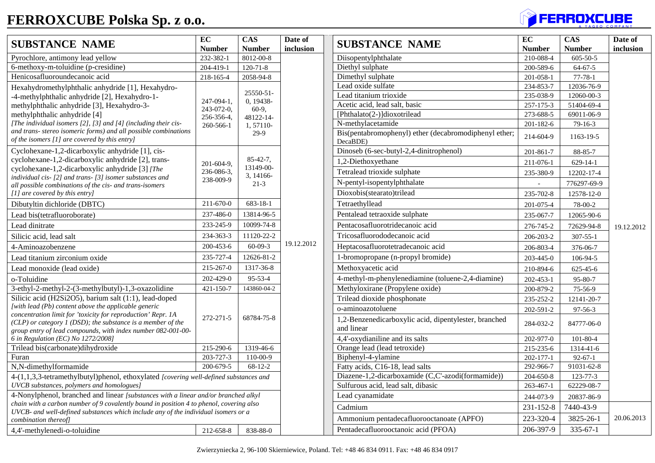## **FERROXCUBE Polska Sp. z o.o.**

| <b>SUBSTANCE NAME</b>                                                                                                                                                                         | EC<br><b>Number</b>      | <b>CAS</b><br><b>Number</b>                           | Date of<br>inclusion | <b>SUBSTANCE NAME</b>                                               | EC<br><b>Number</b> | <b>CAS</b><br><b>Number</b> |
|-----------------------------------------------------------------------------------------------------------------------------------------------------------------------------------------------|--------------------------|-------------------------------------------------------|----------------------|---------------------------------------------------------------------|---------------------|-----------------------------|
| Pyrochlore, antimony lead yellow                                                                                                                                                              | 232-382-1                | 8012-00-8                                             |                      | Diisopentylphthalate                                                | 210-088-4           | $605 - 50 - 5$              |
| 6-methoxy-m-toluidine (p-cresidine)                                                                                                                                                           | 204-419-1                | $120 - 71 - 8$                                        |                      | Diethyl sulphate                                                    | 200-589-6           | $64 - 67 - 5$               |
| Henicosafluoroundecanoic acid                                                                                                                                                                 | 218-165-4                | 2058-94-8                                             |                      | Dimethyl sulphate                                                   | 201-058-1           | $77 - 78 - 1$               |
| Hexahydromethylphthalic anhydride [1], Hexahydro-                                                                                                                                             |                          |                                                       |                      | Lead oxide sulfate                                                  | 234-853-7           | 12036-76-9                  |
| -4-methylphthalic anhydride [2], Hexahydro-1-                                                                                                                                                 |                          | 25550-51-                                             |                      | Lead titanium trioxide                                              | 235-038-9           | 12060-00-3                  |
| methylphthalic anhydride [3], Hexahydro-3-                                                                                                                                                    | 247-094-1,               | 0, 19438-<br>$60-9,$<br>48122-14-<br>1,57110-<br>29-9 |                      | Acetic acid, lead salt, basic                                       | 257-175-3           | 51404-69-4                  |
| methylphthalic anhydride [4]                                                                                                                                                                  | 243-072-0,<br>256-356-4, |                                                       |                      | [Phthalato(2-)]dioxotrilead                                         | 273-688-5           | 69011-06-9                  |
| [The individual isomers [2], [3] and [4] (including their cis-                                                                                                                                | 260-566-1                |                                                       |                      | N-methylacetamide                                                   | 201-182-6           | $79-16-3$                   |
| and trans- stereo isomeric forms) and all possible combinations<br>of the isomers [1] are covered by this entry]                                                                              |                          |                                                       |                      | Bis(pentabromophenyl) ether (decabromodiphenyl ether;<br>DecaBDE)   | 214-604-9           | 1163-19-5                   |
| Cyclohexane-1,2-dicarboxylic anhydride [1], cis-                                                                                                                                              |                          |                                                       |                      | Dinoseb (6-sec-butyl-2,4-dinitrophenol)                             | 201-861-7           | 88-85-7                     |
| cyclohexane-1,2-dicarboxylic anhydride [2], trans-                                                                                                                                            | 201-604-9,               | $85-42-7$ ,                                           |                      | 1,2-Diethoxyethane                                                  | 211-076-1           | 629-14-1                    |
| cyclohexane-1,2-dicarboxylic anhydride [3] [The                                                                                                                                               | 236-086-3,               | 13149-00-                                             |                      | Tetralead trioxide sulphate                                         | 235-380-9           | 12202-17-4                  |
| individual cis- [2] and trans- [3] isomer substances and<br>all possible combinations of the cis- and trans-isomers                                                                           | 238-009-9                | 3, 14166-<br>$21-3$                                   |                      | N-pentyl-isopentylphthalate                                         |                     | 776297-69-9                 |
| [1] are covered by this entry]                                                                                                                                                                |                          |                                                       |                      | Dioxobis(stearato)trilead                                           | 235-702-8           | 12578-12-0                  |
| Dibutyltin dichloride (DBTC)                                                                                                                                                                  | $211 - 670 - 0$          | 683-18-1                                              |                      | Tetraethyllead                                                      | 201-075-4           | 78-00-2                     |
| Lead bis(tetrafluoroborate)                                                                                                                                                                   | 237-486-0                | 13814-96-5                                            |                      | Pentalead tetraoxide sulphate                                       | 235-067-7           | 12065-90-6                  |
| Lead dinitrate                                                                                                                                                                                | 233-245-9                | 10099-74-8                                            |                      | Pentacosafluorotridecanoic acid                                     | 276-745-2           | 72629-94-8                  |
| Silicic acid, lead salt                                                                                                                                                                       | 234-363-3                | 11120-22-2                                            |                      | Tricosafluorododecanoic acid                                        | 206-203-2           | $307 - 55 - 1$              |
| 4-Aminoazobenzene                                                                                                                                                                             | 200-453-6                | $60 - 09 - 3$                                         | 19.12.2012           | Heptacosafluorotetradecanoic acid                                   | 206-803-4           | 376-06-7                    |
| Lead titanium zirconium oxide                                                                                                                                                                 | 235-727-4                | 12626-81-2                                            |                      | 1-bromopropane (n-propyl bromide)                                   | 203-445-0           | 106-94-5                    |
| Lead monoxide (lead oxide)                                                                                                                                                                    | 215-267-0                | 1317-36-8                                             |                      | Methoxyacetic acid                                                  | 210-894-6           | 625-45-6                    |
| o-Toluidine                                                                                                                                                                                   | 202-429-0                | 95-53-4                                               |                      | 4-methyl-m-phenylenediamine (toluene-2,4-diamine)                   | 202-453-1           | 95-80-7                     |
| 3-ethyl-2-methyl-2-(3-methylbutyl)-1,3-oxazolidine                                                                                                                                            | 421-150-7                | 143860-04-2                                           |                      | Methyloxirane (Propylene oxide)                                     | 200-879-2           | 75-56-9                     |
| Silicic acid (H2Si2O5), barium salt (1:1), lead-doped                                                                                                                                         |                          |                                                       |                      | Trilead dioxide phosphonate                                         | 235-252-2           | 12141-20-7                  |
| [with lead (Pb) content above the applicable generic                                                                                                                                          |                          |                                                       |                      | o-aminoazotoluene                                                   | 202-591-2           | 97-56-3                     |
| concentration limit for 'toxicity for reproduction' Repr. 1A<br>$(CLP)$ or category 1 (DSD); the substance is a member of the<br>group entry of lead compounds, with index number 082-001-00- | 272-271-5                | 68784-75-8                                            |                      | 1,2-Benzenedicarboxylic acid, dipentylester, branched<br>and linear | 284-032-2           | 84777-06-0                  |
| 6 in Regulation (EC) No 1272/2008]                                                                                                                                                            |                          |                                                       |                      | 4,4'-oxydianiline and its salts                                     | 202-977-0           | 101-80-4                    |
| Trilead bis(carbonate)dihydroxide                                                                                                                                                             | 215-290-6                | 1319-46-6                                             |                      | Orange lead (lead tetroxide)                                        | 215-235-6           | 1314-41-6                   |
| Furan                                                                                                                                                                                         | 203-727-3                | 110-00-9                                              |                      | Biphenyl-4-ylamine                                                  | 202-177-1           | $92 - 67 - 1$               |
| N,N-dimethylformamide                                                                                                                                                                         | 200-679-5                | $68 - 12 - 2$                                         |                      | Fatty acids, C16-18, lead salts                                     | 292-966-7           | 91031-62-8                  |
| 4-(1,1,3,3-tetramethylbutyl)phenol, ethoxylated [covering well-defined substances and<br>UVCB substances, polymers and homologues]                                                            |                          |                                                       |                      | Diazene-1,2-dicarboxamide (C,C'-azodi(formamide))                   | 204-650-8           | 123-77-3                    |
|                                                                                                                                                                                               |                          |                                                       |                      | Sulfurous acid, lead salt, dibasic                                  | 263-467-1           | 62229-08-7                  |
| 4-Nonylphenol, branched and linear [substances with a linear and/or branched alkyl                                                                                                            |                          |                                                       |                      | Lead cyanamidate                                                    | 244-073-9           | 20837-86-9                  |
| chain with a carbon number of 9 covalently bound in position 4 to phenol, covering also<br>UVCB- and well-defined substances which include any of the individual isomers or a                 |                          |                                                       |                      | Cadmium                                                             | 231-152-8           | 7440-43-9                   |
| combination thereof]                                                                                                                                                                          |                          |                                                       |                      | Ammonium pentadecafluorooctanoate (APFO)                            | 223-320-4           | 3825-26-1                   |
| 4.4'-methylenedi-o-toluidine                                                                                                                                                                  | 212-658-8                | 838-88-0                                              |                      | Pentadecafluorooctanoic acid (PFOA)                                 | 206-397-9           | $335 - 67 - 1$              |

| <b>E NAME</b>                                                                                                                            | EC<br><b>Number</b> | <b>CAS</b><br><b>Number</b> | Date of<br>inclusion                              | <b>SUBSTANCE NAME</b>                                               | EC<br><b>Number</b> | <b>CAS</b><br><b>Number</b> | Date of<br>inclusion |
|------------------------------------------------------------------------------------------------------------------------------------------|---------------------|-----------------------------|---------------------------------------------------|---------------------------------------------------------------------|---------------------|-----------------------------|----------------------|
| ony lead yellow                                                                                                                          | 232-382-1           | 8012-00-8                   |                                                   | Diisopentylphthalate                                                | 210-088-4           | $605 - 50 - 5$              |                      |
| idine (p-cresidine)                                                                                                                      | 204-419-1           | $120 - 71 - 8$              |                                                   | Diethyl sulphate                                                    | 200-589-6           | $64 - 67 - 5$               |                      |
| decanoic acid                                                                                                                            | 218-165-4           | 2058-94-8                   |                                                   | Dimethyl sulphate                                                   | 201-058-1           | $77 - 78 - 1$               |                      |
| phthalic anhydride [1], Hexahydro-                                                                                                       |                     |                             |                                                   | Lead oxide sulfate                                                  | 234-853-7           | 12036-76-9                  |                      |
| anhydride [2], Hexahydro-1-                                                                                                              | 247-094-1.          | 25550-51-<br>0.19438-       |                                                   | Lead titanium trioxide                                              | 235-038-9           | 12060-00-3                  |                      |
| hydride [3], Hexahydro-3-                                                                                                                | 243-072-0,          | 60-9,                       |                                                   | Acetic acid, lead salt, basic                                       | 257-175-3           | 51404-69-4                  |                      |
| hydride <sup>[4]</sup>                                                                                                                   | 256-356-4,          | 48122-14-                   |                                                   | [Phthalato(2-)]dioxotrilead                                         | 273-688-5           | 69011-06-9                  |                      |
| ners [2], [3] and [4] (including their cis-                                                                                              | 260-566-1           | 1,57110-                    |                                                   | N-methylacetamide                                                   | 201-182-6           | 79-16-3                     |                      |
| meric forms) and all possible combinations<br>re covered by this entry]                                                                  |                     | 29-9                        |                                                   | Bis(pentabromophenyl) ether (decabromodiphenyl ether;<br>DecaBDE)   | 214-604-9           | 1163-19-5                   |                      |
| dicarboxylic anhydride [1], cis-                                                                                                         |                     |                             |                                                   | Dinoseb (6-sec-butyl-2,4-dinitrophenol)                             | 201-861-7           | 88-85-7                     |                      |
| licarboxylic anhydride [2], trans-                                                                                                       | 201-604-9.          | $85-42-7$ ,                 |                                                   | 1,2-Diethoxyethane                                                  | 211-076-1           | $629 - 14 - 1$              |                      |
| licarboxylic anhydride [3] [The<br>nd trans- [3] isomer substances and                                                                   | 236-086-3,          | 13149-00-<br>3, 14166-      |                                                   | Tetralead trioxide sulphate                                         | 235-380-9           | 12202-17-4                  |                      |
| itions of the cis- and trans-isomers                                                                                                     | 238-009-9           | $21 - 3$                    |                                                   | N-pentyl-isopentylphthalate                                         |                     | 776297-69-9                 |                      |
| his entry]                                                                                                                               |                     |                             |                                                   | Dioxobis(stearato)trilead                                           | 235-702-8           | 12578-12-0                  |                      |
| ide (DBTC)                                                                                                                               | 211-670-0           | 683-18-1                    |                                                   | Tetraethyllead                                                      | 201-075-4           | 78-00-2                     |                      |
| roborate)                                                                                                                                | 237-486-0           | 13814-96-5                  |                                                   | Pentalead tetraoxide sulphate                                       | 235-067-7           | 12065-90-6                  |                      |
|                                                                                                                                          | 233-245-9           | 10099-74-8                  |                                                   | Pentacosafluorotridecanoic acid                                     | 276-745-2           | 72629-94-8                  | 19.12.2012           |
| alt                                                                                                                                      | 234-363-3           | 11120-22-2                  |                                                   | Tricosafluorododecanoic acid                                        | 206-203-2           | $307 - 55 - 1$              |                      |
| ne                                                                                                                                       | 200-453-6           | $60 - 09 - 3$               | 19.12.2012                                        | Heptacosafluorotetradecanoic acid                                   | 206-803-4           | 376-06-7                    |                      |
| onium oxide                                                                                                                              | 235-727-4           | 12626-81-2                  |                                                   | 1-bromopropane (n-propyl bromide)                                   | 203-445-0           | 106-94-5                    |                      |
| ead oxide)                                                                                                                               | 215-267-0           | 1317-36-8                   |                                                   | Methoxyacetic acid                                                  | 210-894-6           | 625-45-6                    |                      |
|                                                                                                                                          | 202-429-0           | 95-53-4                     |                                                   | 4-methyl-m-phenylenediamine (toluene-2,4-diamine)                   | 202-453-1           | 95-80-7                     |                      |
| 2-(3-methylbutyl)-1,3-oxazolidine                                                                                                        | 421-150-7           | 143860-04-2                 |                                                   | Methyloxirane (Propylene oxide)                                     | 200-879-2           | 75-56-9                     |                      |
| 2O5), barium salt (1:1), lead-doped                                                                                                      |                     |                             |                                                   | Trilead dioxide phosphonate                                         | 235-252-2           | 12141-20-7                  |                      |
| ent above the applicable generic<br>for 'toxicity for reproduction' Repr. 1A                                                             |                     |                             |                                                   | o-aminoazotoluene                                                   | 202-591-2           | 97-56-3                     |                      |
| $(DSD)$ ; the substance is a member of the<br>compounds, with index number 082-001-00-                                                   | 272-271-5           | 68784-75-8                  |                                                   | 1,2-Benzenedicarboxylic acid, dipentylester, branched<br>and linear | 284-032-2           | 84777-06-0                  |                      |
| ) No 1272/2008]                                                                                                                          |                     |                             |                                                   | 4,4'-oxydianiline and its salts                                     | 202-977-0           | 101-80-4                    |                      |
| ate)dihydroxide                                                                                                                          | 215-290-6           | 1319-46-6                   |                                                   | Orange lead (lead tetroxide)                                        | 215-235-6           | 1314-41-6                   |                      |
|                                                                                                                                          | 203-727-3           | 110-00-9                    |                                                   | Biphenyl-4-ylamine                                                  | 202-177-1           | $92 - 67 - 1$               |                      |
| amide                                                                                                                                    | 200-679-5           | $68 - 12 - 2$               |                                                   | Fatty acids, C16-18, lead salts                                     | 292-966-7           | 91031-62-8                  |                      |
| thylbutyl)phenol, ethoxylated [covering well-defined substances and                                                                      |                     |                             | Diazene-1,2-dicarboxamide (C,C'-azodi(formamide)) | 204-650-8                                                           | 123-77-3            |                             |                      |
| olymers and homologues]                                                                                                                  |                     |                             | Sulfurous acid, lead salt, dibasic                | 263-467-1                                                           | 62229-08-7          |                             |                      |
| anched and linear [substances with a linear and/or branched alkyl]                                                                       |                     |                             |                                                   | Lead cyanamidate                                                    | 244-073-9           | 20837-86-9                  |                      |
| number of 9 covalently bound in position 4 to phenol, covering also<br>fined substances which include any of the individual isomers or a |                     |                             |                                                   | Cadmium                                                             | 231-152-8           | 7440-43-9                   |                      |
|                                                                                                                                          |                     |                             |                                                   | Ammonium pentadecafluorooctanoate (APFO)                            | 223-320-4           | 3825-26-1                   | 20.06.2013           |
| b-toluidine                                                                                                                              | 212-658-8           | 838-88-0                    |                                                   | Pentadecafluorooctanoic acid (PFOA)                                 | 206-397-9           | $335 - 67 - 1$              |                      |

**FERROXCUBE**